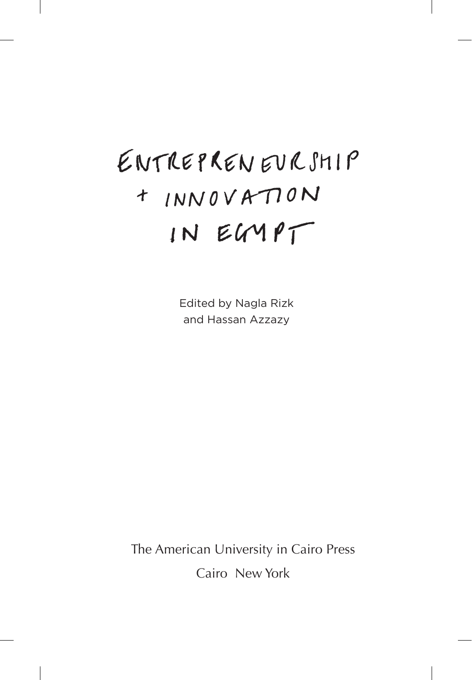## ENTREPRENEURSHIP + INNOVATION IN ELMPT

Edited by Nagla Rizk and Hassan Azzazy

The American University in Cairo Press Cairo New York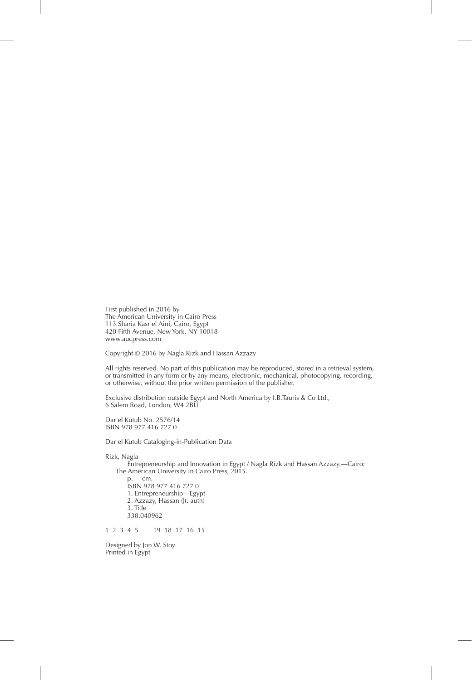First published in 2016 by The American University in Cairo Press 113 Sharia Kasr el Aini, Cairo, Egypt 420 Fifth Avenue, New York, NY 10018 www.aucpress.com

Copyright © 2016 by Nagla Rizk and Hassan Azzazy

All rights reserved. No part of this publication may be reproduced, stored in a retrieval system, or transmitted in any form or by any means, electronic, mechanical, photocopying, recording, or otherwise, without the prior written permission of the publisher.

Exclusive distribution outside Egypt and North America by I.B.Tauris & Co Ltd., 6 Salem Road, London, W4 2BU

Dar el Kutub No. 2576/14 ISBN 978 977 416 727 0

Dar el Kutub Cataloging-in-Publication Data

Rizk, Nagla

Entrepreneurship and Innovation in Egypt / Nagla Rizk and Hassan Azzazy.—Cairo: The American University in Cairo Press, 2015.

p. cm. ISBN 978 977 416 727 0 1. Entrepreneurship—Egypt 2. Azzazy, Hassan (Jt. auth) 3. Title 338.040962

1 2 3 4 5 19 18 17 16 15

Designed by Jon W. Stoy Printed in Egypt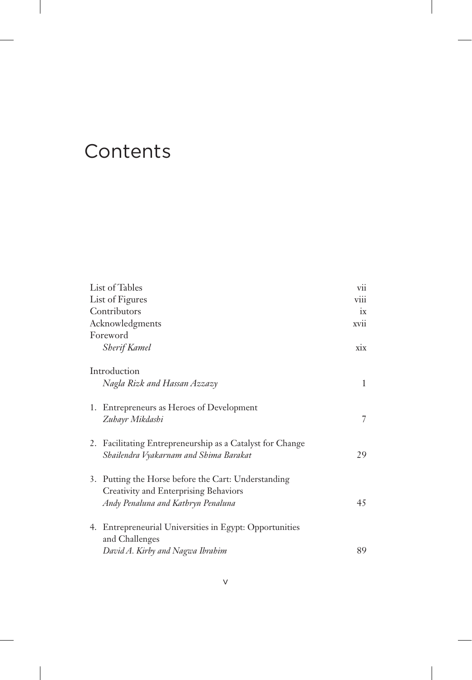## **Contents**

|                 | List of Tables                                            |           |
|-----------------|-----------------------------------------------------------|-----------|
| List of Figures |                                                           | viii      |
| Contributors    |                                                           | ix        |
| Acknowledgments |                                                           | xvii      |
|                 | Foreword                                                  |           |
|                 | <b>Sherif Kamel</b>                                       | $\dot{X}$ |
|                 | Introduction                                              |           |
|                 | Nagla Rizk and Hassan Azzazy                              | 1         |
|                 | 1. Entrepreneurs as Heroes of Development                 |           |
|                 | Zuhayr Mikdashi                                           | 7         |
|                 | 2. Facilitating Entrepreneurship as a Catalyst for Change |           |
|                 | Shailendra Vyakarnam and Shima Barakat                    | 29        |
|                 | 3. Putting the Horse before the Cart: Understanding       |           |
|                 | Creativity and Enterprising Behaviors                     |           |
|                 | Andy Penaluna and Kathryn Penaluna                        | 45        |
|                 | 4. Entrepreneurial Universities in Egypt: Opportunities   |           |
|                 | and Challenges                                            |           |
|                 | David A. Kirby and Nagwa Ibrahim                          | 89        |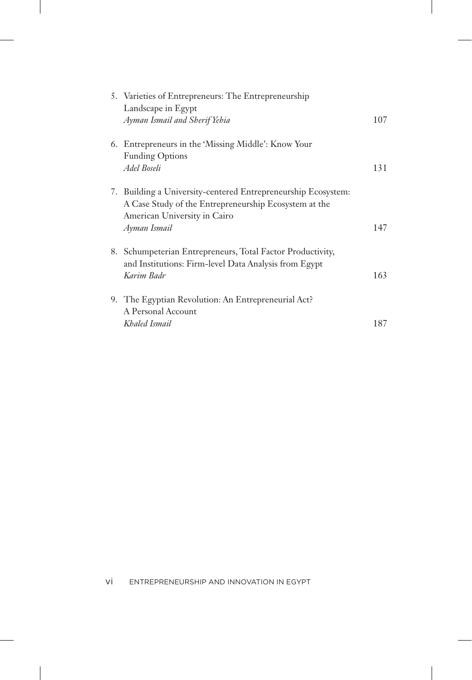|  | 5. Varieties of Entrepreneurs: The Entrepreneurship<br>Landscape in Egypt                                                                              |     |
|--|--------------------------------------------------------------------------------------------------------------------------------------------------------|-----|
|  | Ayman Ismail and Sherif Yehia                                                                                                                          | 107 |
|  | 6. Entrepreneurs in the 'Missing Middle': Know Your<br><b>Funding Options</b>                                                                          |     |
|  | Adel Boseli                                                                                                                                            | 131 |
|  | 7. Building a University-centered Entrepreneurship Ecosystem:<br>A Case Study of the Entrepreneurship Ecosystem at the<br>American University in Cairo |     |
|  | Ayman Ismail                                                                                                                                           | 147 |
|  | 8. Schumpeterian Entrepreneurs, Total Factor Productivity,<br>and Institutions: Firm-level Data Analysis from Egypt                                    |     |
|  | Karim Badr                                                                                                                                             | 163 |
|  | 9. The Egyptian Revolution: An Entrepreneurial Act?<br>A Personal Account                                                                              |     |
|  | Khaled Ismail                                                                                                                                          | 187 |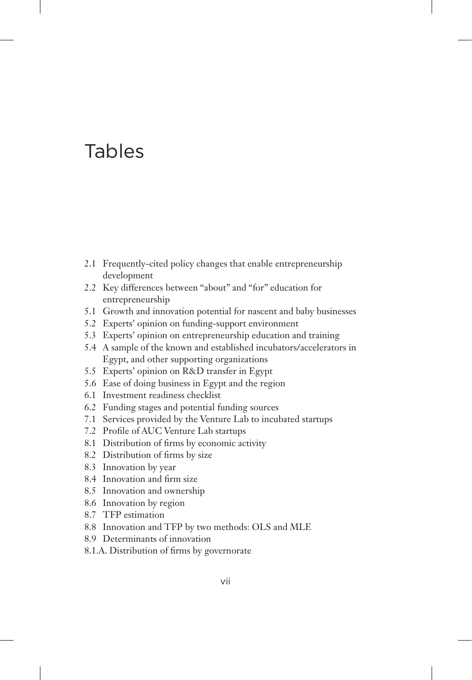## Tables

- 2.1 Frequently-cited policy changes that enable entrepreneurship development
- 2.2 Key differences between "about" and "for" education for entrepreneurship
- 5.1 Growth and innovation potential for nascent and baby businesses
- 5.2 Experts' opinion on funding-support environment
- 5.3 Experts' opinion on entrepreneurship education and training
- 5.4 A sample of the known and established incubators/accelerators in Egypt, and other supporting organizations
- 5.5 Experts' opinion on R&D transfer in Egypt
- 5.6 Ease of doing business in Egypt and the region
- 6.1 Investment readiness checklist
- 6.2 Funding stages and potential funding sources
- 7.1 Services provided by the Venture Lab to incubated startups
- 7.2 Profile of AUC Venture Lab startups
- 8.1 Distribution of firms by economic activity
- 8.2 Distribution of firms by size
- 8.3 Innovation by year
- 8.4 Innovation and firm size
- 8.5 Innovation and ownership
- 8.6 Innovation by region
- 8.7 TFP estimation
- 8.8 Innovation and TFP by two methods: OLS and MLE
- 8.9 Determinants of innovation
- 8.1.A. Distribution of firms by governorate